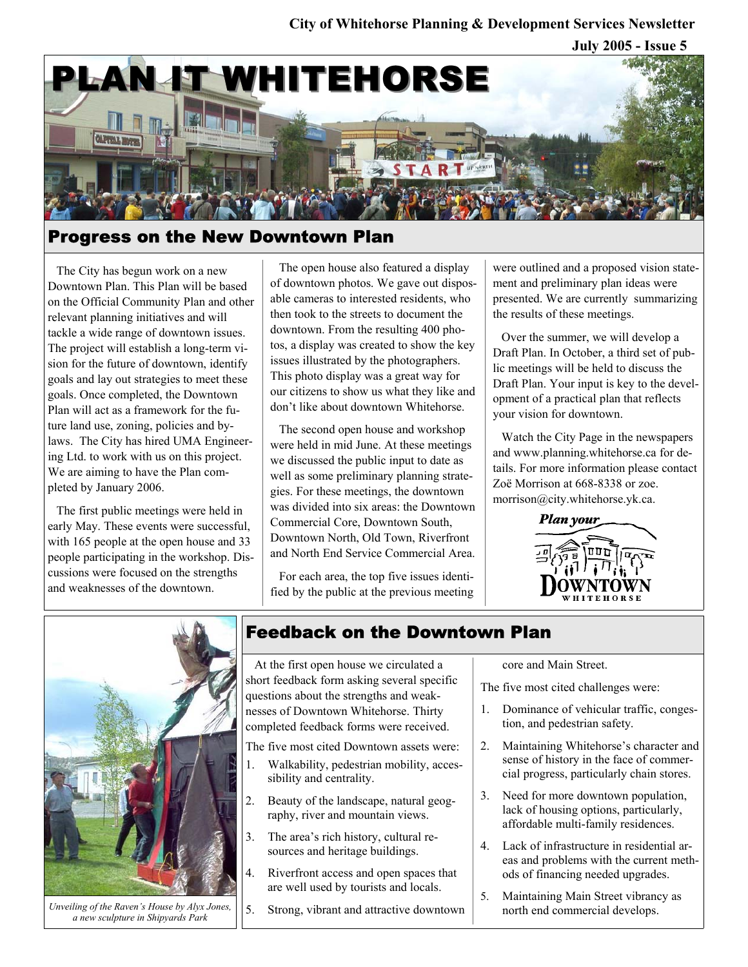## **City of Whitehorse Planning & Development Services Newsletter**

**July 2005 - Issue 5** 



## Progress on the New Downtown Plan

The City has begun work on a new Downtown Plan. This Plan will be based on the Official Community Plan and other relevant planning initiatives and will tackle a wide range of downtown issues. The project will establish a long-term vision for the future of downtown, identify goals and lay out strategies to meet these goals. Once completed, the Downtown Plan will act as a framework for the future land use, zoning, policies and bylaws. The City has hired UMA Engineering Ltd. to work with us on this project. We are aiming to have the Plan completed by January 2006.

The first public meetings were held in early May. These events were successful, with 165 people at the open house and 33 people participating in the workshop. Discussions were focused on the strengths and weaknesses of the downtown.

The open house also featured a display of downtown photos. We gave out disposable cameras to interested residents, who then took to the streets to document the downtown. From the resulting 400 photos, a display was created to show the key issues illustrated by the photographers. This photo display was a great way for our citizens to show us what they like and don't like about downtown Whitehorse.

The second open house and workshop were held in mid June. At these meetings we discussed the public input to date as well as some preliminary planning strategies. For these meetings, the downtown was divided into six areas: the Downtown Commercial Core, Downtown South, Downtown North, Old Town, Riverfront and North End Service Commercial Area.

For each area, the top five issues identified by the public at the previous meeting were outlined and a proposed vision statement and preliminary plan ideas were presented. We are currently summarizing the results of these meetings.

Over the summer, we will develop a Draft Plan. In October, a third set of public meetings will be held to discuss the Draft Plan. Your input is key to the development of a practical plan that reflects your vision for downtown.

Watch the City Page in the newspapers and www.planning.whitehorse.ca for details. For more information please contact Zoë Morrison at 668-8338 or zoe. morrison@city.whitehorse.yk.ca.





*Unveiling of the Raven's House by Alyx Jones, a new sculpture in Shipyards Park*

## Feedback on the Downtown Plan

At the first open house we circulated a short feedback form asking several specific questions about the strengths and weaknesses of Downtown Whitehorse. Thirty completed feedback forms were received.

The five most cited Downtown assets were:

- 1. Walkability, pedestrian mobility, accessibility and centrality.
- 2. Beauty of the landscape, natural geography, river and mountain views.
- 3. The area's rich history, cultural resources and heritage buildings.
- 4. Riverfront access and open spaces that are well used by tourists and locals.

5. Strong, vibrant and attractive downtown

core and Main Street.

The five most cited challenges were:

- 1. Dominance of vehicular traffic, congestion, and pedestrian safety.
- 2. Maintaining Whitehorse's character and sense of history in the face of commercial progress, particularly chain stores.
- 3. Need for more downtown population, lack of housing options, particularly, affordable multi-family residences.
- 4. Lack of infrastructure in residential areas and problems with the current methods of financing needed upgrades.
- 5. Maintaining Main Street vibrancy as north end commercial develops.